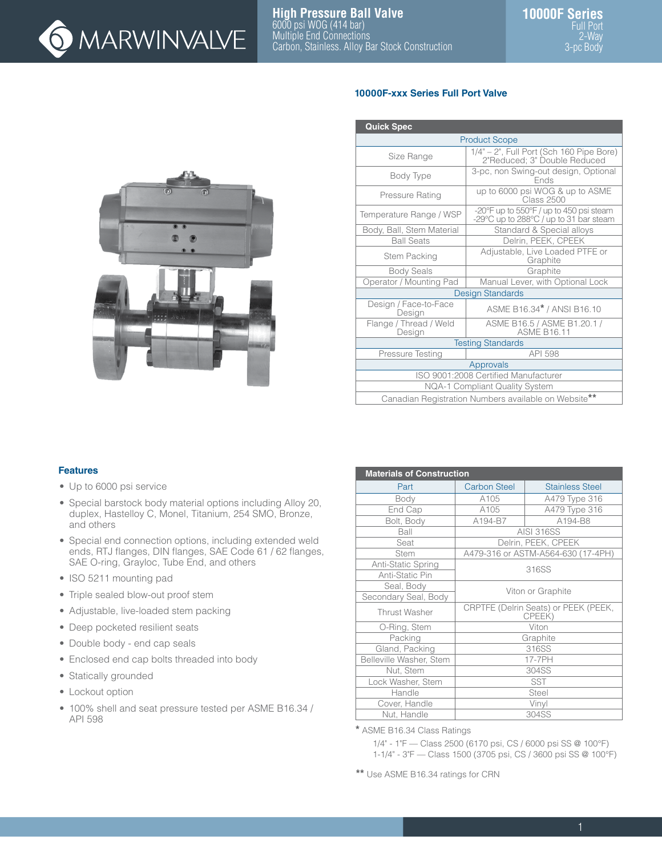

## **10000F-xxx Series Full Port Valve**

| <b>Quick Spec</b>                |                                                                                   |  |  |
|----------------------------------|-----------------------------------------------------------------------------------|--|--|
|                                  | <b>Product Scope</b>                                                              |  |  |
| Size Range                       | 1/4" - 2", Full Port (Sch 160 Pipe Bore)<br>2"Reduced; 3" Double Reduced          |  |  |
| Body Type                        | 3-pc, non Swing-out design, Optional<br><b>Fnds</b>                               |  |  |
| Pressure Rating                  | up to 6000 psi WOG & up to ASME<br><b>Class 2500</b>                              |  |  |
| Temperature Range / WSP          | -20°F up to 550°F / up to 450 psi steam<br>-29°C up to 288°C / up to 31 bar steam |  |  |
| Body, Ball, Stem Material        | Standard & Special alloys                                                         |  |  |
| <b>Ball Seats</b>                | Delrin, PEEK, CPEEK                                                               |  |  |
| <b>Stem Packing</b>              | Adjustable, Live Loaded PTFE or<br>Graphite                                       |  |  |
| <b>Body Seals</b>                | Graphite                                                                          |  |  |
| Operator / Mounting Pad          | Manual Lever, with Optional Lock                                                  |  |  |
|                                  | <b>Design Standards</b>                                                           |  |  |
| Design / Face-to-Face<br>Design  | ASME B16.34* / ANSI B16.10                                                        |  |  |
| Flange / Thread / Weld<br>Design | ASME B16.5 / ASME B1.20.1 /<br><b>ASME B16.11</b>                                 |  |  |
|                                  | <b>Testing Standards</b>                                                          |  |  |
| Pressure Testing                 | API 598                                                                           |  |  |
|                                  | Approvals                                                                         |  |  |
|                                  | ISO 9001:2008 Certified Manufacturer                                              |  |  |
|                                  | <b>NQA-1 Compliant Quality System</b>                                             |  |  |
|                                  | Canadian Registration Numbers available on Website**                              |  |  |

## **Features**

- Up to 6000 psi service
- Special barstock body material options including Alloy 20, duplex, Hastelloy C, Monel, Titanium, 254 SMO, Bronze, and others
- Special end connection options, including extended weld ends, RTJ flanges, DIN flanges, SAE Code 61 / 62 flanges, SAE O-ring, Grayloc, Tube End, and others
- ISO 5211 mounting pad
- Triple sealed blow-out proof stem
- Adjustable, live-loaded stem packing
- Deep pocketed resilient seats
- Double body end cap seals
- Enclosed end cap bolts threaded into body
- Statically grounded
- Lockout option
- 100% shell and seat pressure tested per ASME B16.34 / API 598

| <b>Materials of Construction</b> |                     |                                                |  |  |  |
|----------------------------------|---------------------|------------------------------------------------|--|--|--|
| Part                             | <b>Carbon Steel</b> | <b>Stainless Steel</b>                         |  |  |  |
| Body                             | A105                | A479 Type 316                                  |  |  |  |
| End Cap                          | A105                | A479 Type 316                                  |  |  |  |
| Bolt, Body                       | A194-B7             | A194-B8                                        |  |  |  |
| Ball                             |                     | <b>AISI 316SS</b>                              |  |  |  |
| Seat                             |                     | Delrin, PEEK, CPEEK                            |  |  |  |
| <b>Stem</b>                      |                     | A479-316 or ASTM-A564-630 (17-4PH)             |  |  |  |
| Anti-Static Spring               |                     | 316SS                                          |  |  |  |
| Anti-Static Pin                  |                     |                                                |  |  |  |
| Seal, Body                       | Viton or Graphite   |                                                |  |  |  |
| Secondary Seal, Body             |                     |                                                |  |  |  |
| Thrust Washer                    |                     | CRPTFE (Delrin Seats) or PEEK (PEEK,<br>CPEEK) |  |  |  |
| O-Ring, Stem                     |                     | Viton                                          |  |  |  |
| Packing                          |                     | Graphite                                       |  |  |  |
| Gland, Packing                   |                     | 316SS                                          |  |  |  |
| Belleville Washer, Stem          |                     | 17-7PH                                         |  |  |  |
| Nut, Stem                        |                     | 304SS                                          |  |  |  |
| Lock Washer, Stem                | <b>SST</b>          |                                                |  |  |  |
| Handle                           | <b>Steel</b>        |                                                |  |  |  |
| Cover, Handle                    |                     | Vinyl                                          |  |  |  |
| Nut, Handle                      |                     | 304SS                                          |  |  |  |

**\*** ASME B16.34 Class Ratings

1/4" - 1"F — Class 2500 (6170 psi, CS / 6000 psi SS @ 100°F)

1-1/4" - 3"F — Class 1500 (3705 psi, CS / 3600 psi SS @ 100°F)

**\*\*** Use ASME B16.34 ratings for CRN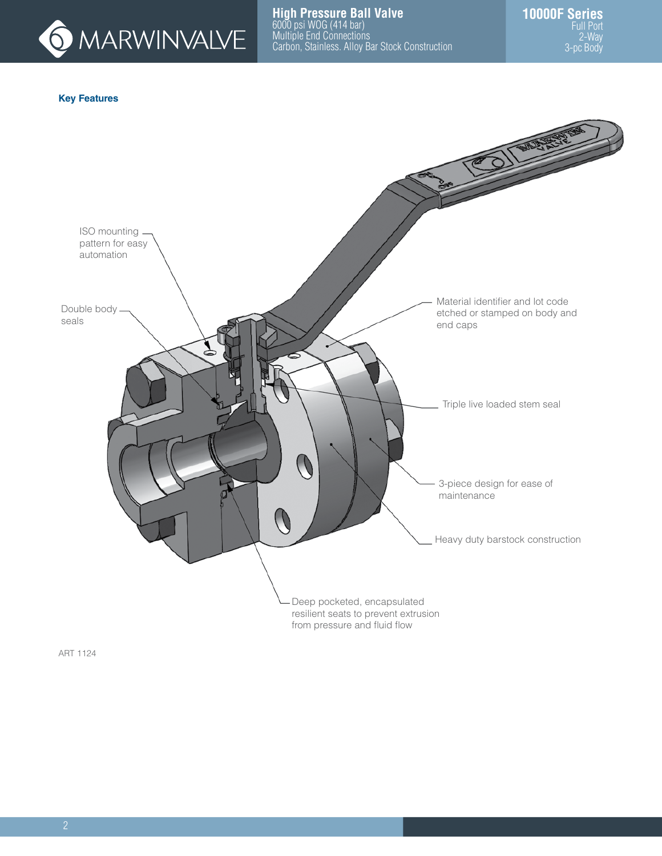

## **Key Features**



ART 1124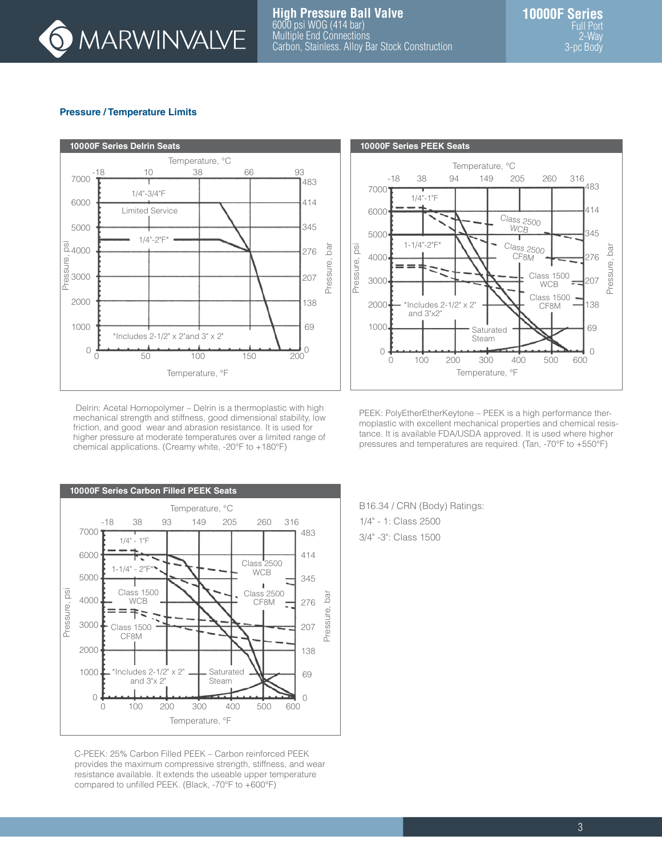

### **Pressure / Temperature Limits**



Delrin: Acetal Homopolymer – Delrin is a thermoplastic with high mechanical strength and stiffness, good dimensional stability, low friction, and good wear and abrasion resistance. It is used for higher pressure at moderate temperatures over a limited range of chemical applications. (Creamy white, -20°F to +180°F)



C-PEEK: 25% Carbon Filled PEEK – Carbon reinforced PEEK provides the maximum compressive strength, stiffness, and wear resistance available. It extends the useable upper temperature compared to unfilled PEEK. (Black, -70°F to +600°F)



PEEK: PolyEtherEtherKeytone – PEEK is a high performance thermoplastic with excellent mechanical properties and chemical resistance. It is available FDA/USDA approved. It is used where higher pressures and temperatures are required. (Tan, -70°F to +550°F)

B16.34 / CRN (Body) Ratings: 1/4" - 1: Class 2500 3/4" -3": Class 1500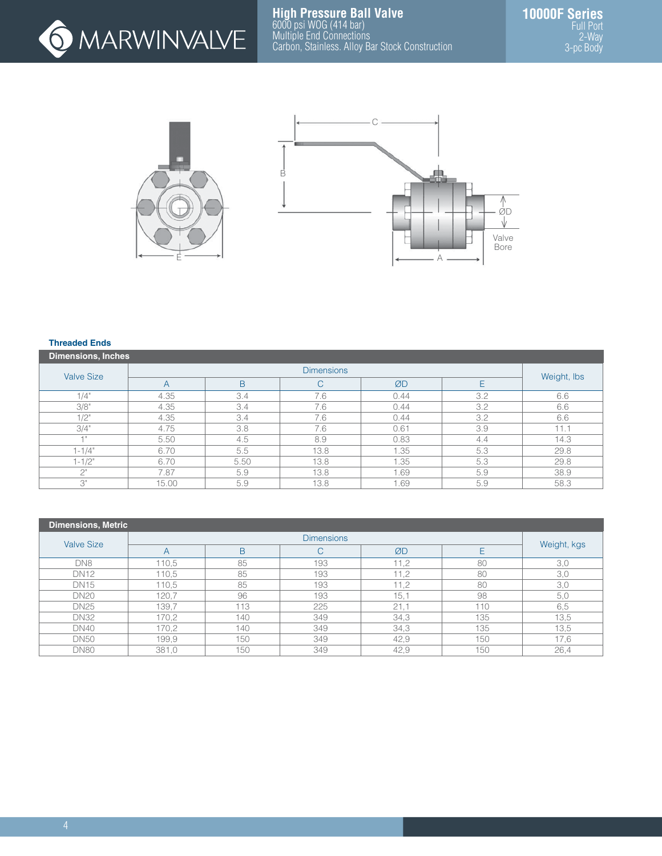



#### **Threaded Ends**

| <b>Dimensions, Inches</b> |                          |                   |      |      |     |             |  |  |  |
|---------------------------|--------------------------|-------------------|------|------|-----|-------------|--|--|--|
| <b>Valve Size</b>         |                          | <b>Dimensions</b> |      |      |     |             |  |  |  |
|                           | $\overline{\mathcal{A}}$ | B                 | C    | ØD   | E   | Weight, Ibs |  |  |  |
| 1/4"                      | 4.35                     | 3.4               | 7.6  | 0.44 | 3.2 | 6.6         |  |  |  |
| 3/8"                      | 4.35                     | 3.4               | 7.6  | 0.44 | 3.2 | 6.6         |  |  |  |
| $1/2$ "                   | 4.35                     | 3.4               | 7.6  | 0.44 | 3.2 | 6.6         |  |  |  |
| 3/4"                      | 4.75                     | 3.8               | 7.6  | 0.61 | 3.9 | 11.1        |  |  |  |
| $-11$                     | 5.50                     | 4.5               | 8.9  | 0.83 | 4.4 | 14.3        |  |  |  |
| $1 - 1/4"$                | 6.70                     | 5.5               | 13.8 | .35  | 5.3 | 29.8        |  |  |  |
| $1 - 1/2$ "               | 6.70                     | 5.50              | 13.8 | .35  | 5.3 | 29.8        |  |  |  |
| $\bigcap$                 | 7.87                     | 5.9               | 13.8 | .69  | 5.9 | 38.9        |  |  |  |
| 3"                        | 15.00                    | 5.9               | 13.8 | .69  | 5.9 | 58.3        |  |  |  |

| <b>Dimensions, Metric</b> |                         |     |                   |      |     |             |
|---------------------------|-------------------------|-----|-------------------|------|-----|-------------|
| <b>Valve Size</b>         |                         |     | <b>Dimensions</b> |      |     |             |
|                           | $\overline{\mathsf{A}}$ | B   | U                 | ØD   |     | Weight, kgs |
| DN8                       | 110,5                   | 85  | 193               | 11,2 | 80  | 3,0         |
| <b>DN12</b>               | 110,5                   | 85  | 193               | 11,2 | 80  | 3,0         |
| <b>DN15</b>               | 110,5                   | 85  | 193               | 11,2 | 80  | 3,0         |
| <b>DN20</b>               | 120,7                   | 96  | 193               | 15,1 | 98  | 5,0         |
| <b>DN25</b>               | 139,7                   | 113 | 225               | 21,1 | 110 | 6,5         |
| <b>DN32</b>               | 170,2                   | 140 | 349               | 34,3 | 135 | 13,5        |
| <b>DN40</b>               | 170,2                   | 140 | 349               | 34,3 | 135 | 13,5        |
| <b>DN50</b>               | 199.9                   | 150 | 349               | 42,9 | 150 | 17.6        |
| <b>DN80</b>               | 381,0                   | 150 | 349               | 42,9 | 150 | 26,4        |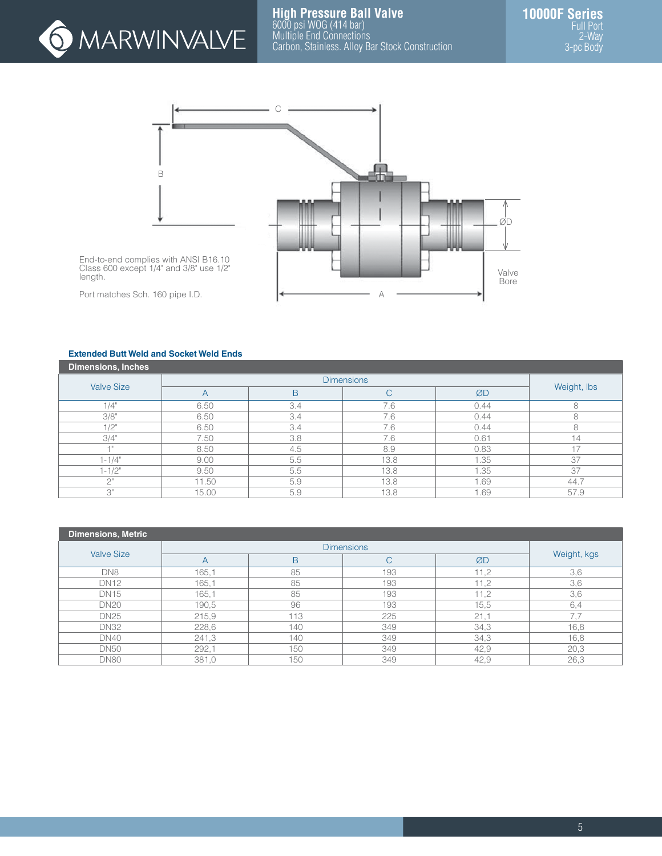



End-to-end complies with ANSI B16.10 Class 600 except 1/4" and 3/8" use 1/2" length.

Port matches Sch. 160 pipe I.D.

#### **Extended Butt Weld and Socket Weld Ends**

| Dimensions, Inches |       |     |              |      |             |
|--------------------|-------|-----|--------------|------|-------------|
|                    |       |     |              |      |             |
| <b>Valve Size</b>  | A     | B   | $\mathsf{C}$ | ØD   | Weight, Ibs |
| 1/4"               | 6.50  | 3.4 | 7.6          | 0.44 |             |
| 3/8"               | 6.50  | 3.4 | 7.6          | 0.44 |             |
| 1/2"               | 6.50  | 3.4 | 7.6          | 0.44 |             |
| 3/4"               | 7.50  | 3.8 | 7.6          | 0.61 | 14          |
|                    | 8.50  | 4.5 | 8.9          | 0.83 | $+7$        |
| $1 - 1/4"$         | 9.00  | 5.5 | 13.8         | 1.35 | 37          |
| $1 - 1/2"$         | 9.50  | 5.5 | 13.8         | 1.35 | 37          |
| $\bigcap$          | 11.50 | 5.9 | 13.8         | 1.69 | 44.7        |
| З"                 | 15.00 | 5.9 | 13.8         | 1.69 | 57.9        |

| Dimensions, Metric |       |     |                   |      |             |
|--------------------|-------|-----|-------------------|------|-------------|
| <b>Valve Size</b>  |       |     | <b>Dimensions</b> |      |             |
|                    | A     | B   | ◡                 | ØD   | Weight, kgs |
| DN8                | 165,1 | 85  | 193               | 11,2 | 3,6         |
| <b>DN12</b>        | 165,1 | 85  | 193               | 11,2 | 3,6         |
| <b>DN15</b>        | 165,1 | 85  | 193               | 11,2 | 3,6         |
| <b>DN20</b>        | 190,5 | 96  | 193               | 15,5 | 6,4         |
| <b>DN25</b>        | 215,9 | 113 | 225               | 21,1 | 7.7         |
| <b>DN32</b>        | 228,6 | 140 | 349               | 34,3 | 16,8        |
| <b>DN40</b>        | 241,3 | 140 | 349               | 34,3 | 16,8        |
| <b>DN50</b>        | 292,1 | 150 | 349               | 42,9 | 20,3        |
| <b>DN80</b>        | 381,0 | 150 | 349               | 42,9 | 26,3        |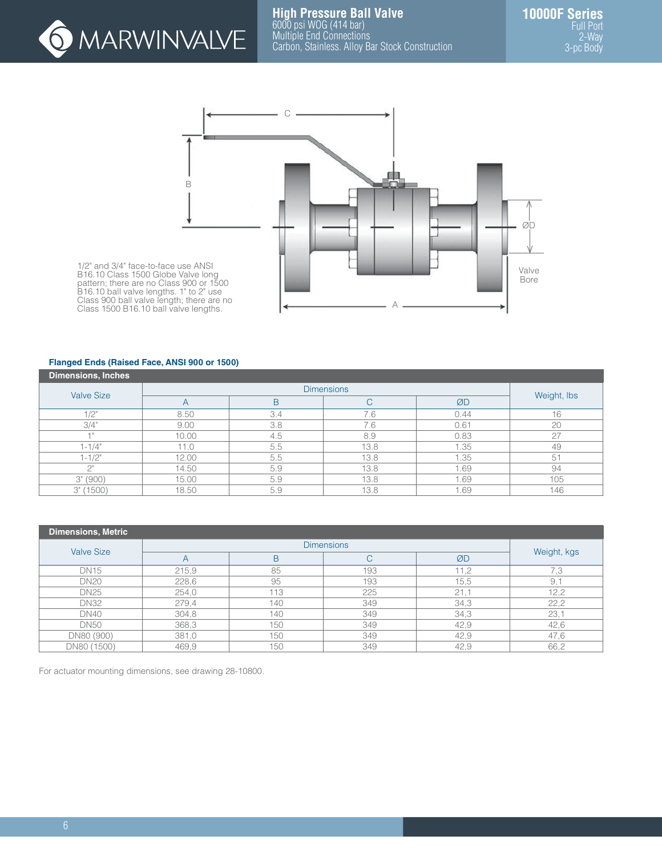



1/2" and 3/4" face-to-face use ANSI B16.10 Class 1500 Globe Valve long pattern; there are no Class 900 or 1500 B16.10 ball valve lengths. 1" to 2" use Class 900 ball valve length; there are no Class 1500 B16.10 ball valve lengths.

### **Flanged Ends (Raised Face, ANSI 900 or 1500)**

| <b>Dimensions, Inches</b> |       |     |                   |      |             |
|---------------------------|-------|-----|-------------------|------|-------------|
| <b>Valve Size</b>         |       |     | <b>Dimensions</b> |      |             |
|                           | A     | B   | C                 | ØD   | Weight, Ibs |
| 1/2"                      | 8.50  | 3.4 | 7.6               | 0.44 | 16          |
| 3/4"                      | 9.00  | 3.8 | 7.6               | 0.61 | 20          |
| $-1$ H                    | 10.00 | 4.5 | 8.9               | 0.83 | 27          |
| $1 - 1/4$ "               | 11.0  | 5.5 | 13.8              | 1.35 | 49          |
| $1 - 1/2"$                | 12.00 | 5.5 | 13.8              | 1.35 | 51          |
| $\bigcap$                 | 14.50 | 5.9 | 13.8              | 1.69 | 94          |
| 3''(900)                  | 15.00 | 5.9 | 13.8              | 1.69 | 105         |
| 3" (1500)                 | 18.50 | 5.9 | 13.8              | .69  | 146         |

| <b>Dimensions, Metric</b> |       |     |                   |      |             |  |  |  |
|---------------------------|-------|-----|-------------------|------|-------------|--|--|--|
| <b>Valve Size</b>         |       |     | <b>Dimensions</b> |      |             |  |  |  |
|                           |       | B   | ◡                 | ØD   | Weight, kgs |  |  |  |
| <b>DN15</b>               | 215,9 | 85  | 193               | 11,2 | 7.3         |  |  |  |
| <b>DN20</b>               | 228,6 | 95  | 193               | 15,5 | 9,          |  |  |  |
| <b>DN25</b>               | 254,0 | 113 | 225               | 21,1 | 12,2        |  |  |  |
| <b>DN32</b>               | 279,4 | 140 | 349               | 34,3 | 22,2        |  |  |  |
| <b>DN40</b>               | 304,8 | 140 | 349               | 34,3 | 23,1        |  |  |  |
| <b>DN50</b>               | 368,3 | 150 | 349               | 42,9 | 42,6        |  |  |  |
| DN80 (900)                | 381,0 | 150 | 349               | 42,9 | 47,6        |  |  |  |
| DN80 (1500)               | 469,9 | 150 | 349               | 42,9 | 66,2        |  |  |  |

For actuator mounting dimensions, see drawing 28-10800.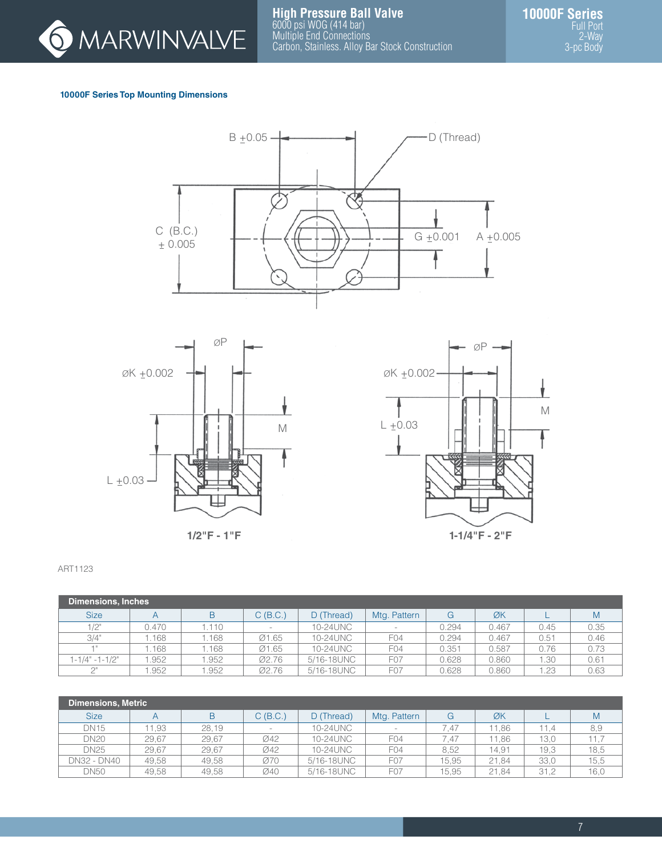

# **10000F Series Top Mounting Dimensions**









#### ART1123

| <b>Dimensions, Inches</b> |       |      |            |            |                  |       |       |      |      |
|---------------------------|-------|------|------------|------------|------------------|-------|-------|------|------|
| <b>Size</b>               |       | B    | $C$ (B.C.) | D (Thread) | Mtg. Pattern     | G     | ØK    |      | M    |
| 1/2"                      | 0.470 | .110 |            | 10-24UNC   |                  | 0.294 | 0.467 | 0.45 | 0.35 |
| 3/4"                      | .168  | .168 | Ø1.65      | 10-24UNC   | F <sub>04</sub>  | 0.294 | 0.467 | 0.51 | 0.46 |
|                           | .168  | .168 | Ø1.65      | 10-24UNC   | F <sub>04</sub>  | 0.351 | 0.587 | 0.76 | 0.73 |
| $1 - 1/4" - 1 - 1/2"$     | .952  | .952 | Ø2.76      | 5/16-18UNC | F <sub>0</sub> 7 | 0.628 | 0.860 | .30  | 0.61 |
| $\bigcap$                 | .952  | .952 | Ø2.76      | 5/16-18UNC | F <sub>0</sub> 7 | 0.628 | 0.860 | .23  | 0.63 |

| Dimensions, Metric |       |       |                          |            |                          |       |       |      |      |
|--------------------|-------|-------|--------------------------|------------|--------------------------|-------|-------|------|------|
| <b>Size</b>        | A     | B     | C (B.C.)                 | D (Thread) | Mtg. Pattern             | G     | ØK    |      | M    |
| <b>DN15</b>        | 11.93 | 28.19 | $\overline{\phantom{a}}$ | 10-24UNC   | $\overline{\phantom{a}}$ | 7.47  | 11.86 | 11.4 | 8,9  |
| <b>DN20</b>        | 29.67 | 29.67 | Ø42                      | 10-24UNC   | F <sub>04</sub>          | 7.47  | 11.86 | 13.0 | 11.7 |
| <b>DN25</b>        | 29.67 | 29.67 | Ø42                      | 10-24UNC   | F <sub>04</sub>          | 8.52  | 14.91 | 19.3 | 18,5 |
| DN32 - DN40        | 49.58 | 49.58 | Ø70                      | 5/16-18UNC | F <sub>0</sub> 7         | 15.95 | 21.84 | 33,0 | 15,5 |
| <b>DN50</b>        | 49.58 | 49.58 | Ø40                      | 5/16-18UNC | F <sub>0</sub> 7         | 15.95 | 21.84 | 31,2 | 16,0 |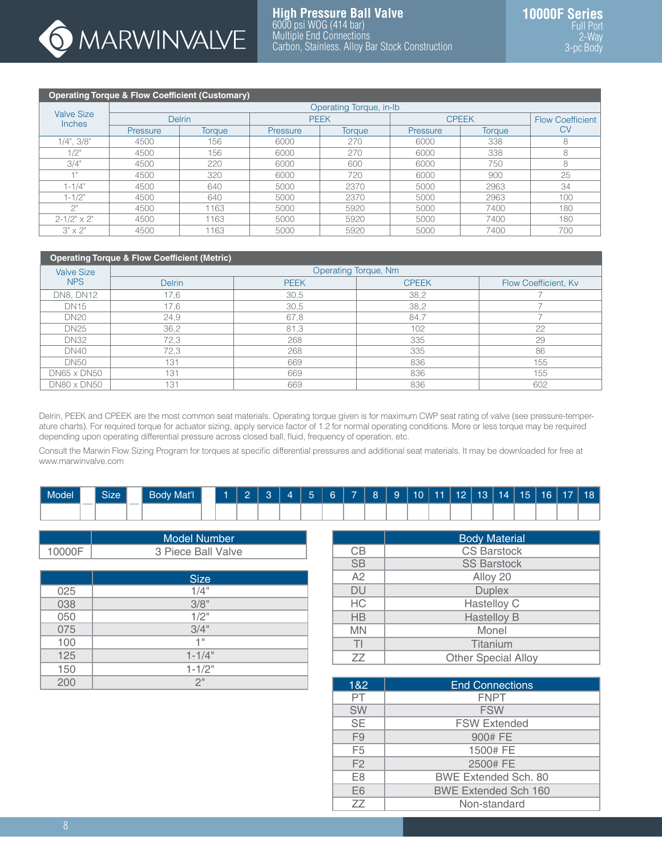

# **Operating Torque & Flow Coefficient (Customary)**

| . .                                |          | Operating Torque, in-Ib |          |               |          |               |                  |  |  |  |  |  |
|------------------------------------|----------|-------------------------|----------|---------------|----------|---------------|------------------|--|--|--|--|--|
| <b>Valve Size</b><br><b>Inches</b> |          | <b>Delrin</b>           |          | <b>PEEK</b>   |          | <b>CPEEK</b>  | Flow Coefficient |  |  |  |  |  |
|                                    | Pressure | Torque                  | Pressure | <b>Torque</b> | Pressure | <b>Torque</b> | СV               |  |  |  |  |  |
| $1/4$ ", $3/8$ "                   | 4500     | 156                     | 6000     | 270           | 6000     | 338           | 8                |  |  |  |  |  |
| 1/2"                               | 4500     | 156                     | 6000     | 270           | 6000     | 338           | 8                |  |  |  |  |  |
| 3/4"                               | 4500     | 220                     | 6000     | 600           | 6000     | 750           | 8                |  |  |  |  |  |
| -4 11                              | 4500     | 320                     | 6000     | 720           | 6000     | 900           | 25               |  |  |  |  |  |
| $1 - 1/4"$                         | 4500     | 640                     | 5000     | 2370          | 5000     | 2963          | 34               |  |  |  |  |  |
| $1 - 1/2"$                         | 4500     | 640                     | 5000     | 2370          | 5000     | 2963          | 100              |  |  |  |  |  |
| $\bigcap$                          | 4500     | 1163                    | 5000     | 5920          | 5000     | 7400          | 180              |  |  |  |  |  |
| $2 - 1/2" \times 2"$               | 4500     | 1163                    | 5000     | 5920          | 5000     | 7400          | 180              |  |  |  |  |  |
| $3" \times 2"$                     | 4500     | 1163                    | 5000     | 5920          | 5000     | 7400          | 700              |  |  |  |  |  |

# **Operating Torque & Flow Coefficient (Metric)**

| ____<br><b>Valve Size</b> |               | Operating Torque, Nm |              |                      |  |  |  |
|---------------------------|---------------|----------------------|--------------|----------------------|--|--|--|
| <b>NPS</b>                | <b>Delrin</b> | <b>PEEK</b>          | <b>CPEEK</b> | Flow Coefficient, Kv |  |  |  |
| DN8, DN12                 | 17,6          | 30,5                 | 38,2         |                      |  |  |  |
| <b>DN15</b>               | 17,6          | 30,5                 | 38,2         |                      |  |  |  |
| <b>DN20</b>               | 24,9          | 67,8                 | 84,7         |                      |  |  |  |
| <b>DN25</b>               | 36,2          | 81,3                 | 102          | 22                   |  |  |  |
| <b>DN32</b>               | 72,3          | 268                  | 335          | 29                   |  |  |  |
| <b>DN40</b>               | 72,3          | 268                  | 335          | 86                   |  |  |  |
| <b>DN50</b>               | 131           | 669                  | 836          | 155                  |  |  |  |
| <b>DN65 x DN50</b>        | 131           | 669                  | 836          | 155                  |  |  |  |
| <b>DN80 x DN50</b>        | 131           | 669                  | 836          | 602                  |  |  |  |

Delrin, PEEK and CPEEK are the most common seat materials. Operating torque given is for maximum CWP seat rating of valve (see pressure-temperature charts). For required torque for actuator sizing, apply service factor of 1.2 for normal operating conditions. More or less torque may be required depending upon operating differential pressure across closed ball, fluid, frequency of operation, etc.

Consult the Marwin Flow Sizing Program for torques at specific differential pressures and additional seat materials. It may be downloaded for free at www.marwinvalve.com

| Model <sup>'</sup> |                          | $\sim$<br>Size |        | <b>Body Mat'l</b> |  | ۔ |  | $\sqrt{2}$<br>-- | - | <b>P</b> 9 |  | $10$   11   12   13   14 | 15 | 16 | 17 <sub>1</sub> | 18 |
|--------------------|--------------------------|----------------|--------|-------------------|--|---|--|------------------|---|------------|--|--------------------------|----|----|-----------------|----|
|                    | $\overline{\phantom{a}}$ |                | $\sim$ |                   |  |   |  |                  |   |            |  |                          |    |    |                 |    |

|        | Model Number       |
|--------|--------------------|
| 10000F | 3 Piece Ball Valve |

|     | <b>Size</b> |
|-----|-------------|
| 025 | $1/4$ "     |
| 038 | 3/8"        |
| 050 | $1/2$ "     |
| 075 | 3/4"        |
| 100 | 1"          |
| 125 | $1 - 1/4"$  |
| 150 | $1 - 1/2"$  |
| 200 | 2"          |

|           | <b>Body Material</b>       |
|-----------|----------------------------|
| CВ        | <b>CS Barstock</b>         |
| <b>SB</b> | <b>SS Barstock</b>         |
| A2        | Alloy 20                   |
| <b>DU</b> | <b>Duplex</b>              |
| HC        | Hastelloy C                |
| <b>HB</b> | <b>Hastelloy B</b>         |
| <b>MN</b> | Monel                      |
| ΤI        | Titanium                   |
| ZZ        | <b>Other Special Alloy</b> |

| 1&2            | <b>End Connections</b>      |
|----------------|-----------------------------|
| PT             | <b>FNPT</b>                 |
| <b>SW</b>      | <b>FSW</b>                  |
| <b>SE</b>      | <b>FSW Extended</b>         |
| F <sub>9</sub> | 900# FE                     |
| F <sub>5</sub> | 1500# FE                    |
| F <sub>2</sub> | 2500# FE                    |
| E <sub>8</sub> | <b>BWE Extended Sch. 80</b> |
| E6             | <b>BWE Extended Sch 160</b> |
| 77             | Non-standard                |